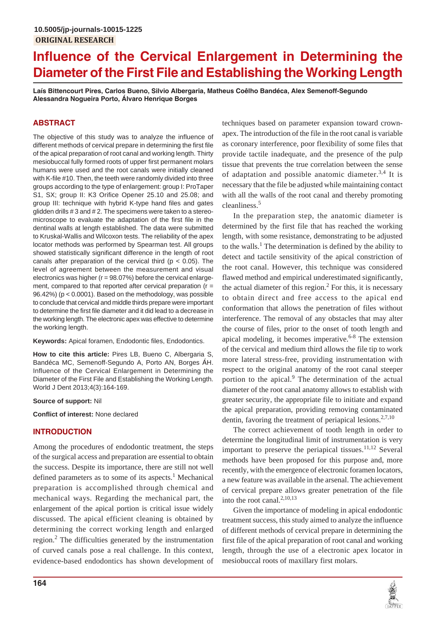# **Influence of the Cervical Enlargement in Determining the Diameter of the First File and Establishing the Working Length**

**Laís Bittencourt Pires, Carlos Bueno, Silvio Albergaria, Matheus Coêlho Bandéca, Alex Semenoff-Segundo Alessandra Nogueira Porto, Álvaro Henrique Borges**

# **ABSTRACT**

The objective of this study was to analyze the influence of different methods of cervical prepare in determining the first file of the apical preparation of root canal and working length. Thirty mesiobuccal fully formed roots of upper first permanent molars humans were used and the root canals were initially cleaned with K-file #10. Then, the teeth were randomly divided into three groups according to the type of enlargement: group I: ProTaper S1, SX; group II: K3 Orifice Opener 25.10 and 25.08; and group III: technique with hybrid K-type hand files and gates glidden drills # 3 and # 2. The specimens were taken to a stereomicroscope to evaluate the adaptation of the first file in the dentinal walls at length established. The data were submitted to Kruskal-Wallis and Wilcoxon tests. The reliability of the apex locator methods was performed by Spearman test. All groups showed statistically significant difference in the length of root canals after preparation of the cervical third ( $p < 0.05$ ). The level of agreement between the measurement and visual electronics was higher ( $r = 98.07\%$ ) before the cervical enlargement, compared to that reported after cervical preparation (r = 96.42%) (p < 0.0001). Based on the methodology, was possible to conclude that cervical and middle thirds prepare were important to determine the first file diameter and it did lead to a decrease in the working length. The electronic apex was effective to determine the working length.

**Keywords:** Apical foramen, Endodontic files, Endodontics.

**How to cite this article:** Pires LB, Bueno C, Albergaria S, Bandéca MC, Semenoff-Segundo A, Porto AN, Borges ÁH. Influence of the Cervical Enlargement in Determining the Diameter of the First File and Establishing the Working Length. World J Dent 2013;4(3):164-169.

# **Source of support:** Nil

**Conflict of interest:** None declared

# **INTRODUCTION**

Among the procedures of endodontic treatment, the steps of the surgical access and preparation are essential to obtain the success. Despite its importance, there are still not well defined parameters as to some of its aspects.<sup>1</sup> Mechanical preparation is accomplished through chemical and mechanical ways. Regarding the mechanical part, the enlargement of the apical portion is critical issue widely discussed. The apical efficient cleaning is obtained by determining the correct working length and enlarged region.<sup>2</sup> The difficulties generated by the instrumentation of curved canals pose a real challenge. In this context, evidence-based endodontics has shown development of

techniques based on parameter expansion toward crownapex. The introduction of the file in the root canal is variable as coronary interference, poor flexibility of some files that provide tactile inadequate, and the presence of the pulp tissue that prevents the true correlation between the sense of adaptation and possible anatomic diameter.<sup>3,4</sup> It is necessary that the file be adjusted while maintaining contact with all the walls of the root canal and thereby promoting cleanliness.<sup>5</sup>

In the preparation step, the anatomic diameter is determined by the first file that has reached the working length, with some resistance, demonstrating to be adjusted to the walls.<sup>1</sup> The determination is defined by the ability to detect and tactile sensitivity of the apical constriction of the root canal. However, this technique was considered flawed method and empirical underestimated significantly, the actual diameter of this region. $<sup>2</sup>$  For this, it is necessary</sup> to obtain direct and free access to the apical end conformation that allows the penetration of files without interference. The removal of any obstacles that may alter the course of files, prior to the onset of tooth length and apical modeling, it becomes imperative. $6-8$  The extension of the cervical and medium third allows the file tip to work more lateral stress-free, providing instrumentation with respect to the original anatomy of the root canal steeper portion to the apical.<sup>9</sup> The determination of the actual diameter of the root canal anatomy allows to establish with greater security, the appropriate file to initiate and expand the apical preparation, providing removing contaminated dentin, favoring the treatment of periapical lesions.<sup>2,7,10</sup>

The correct achievement of tooth length in order to determine the longitudinal limit of instrumentation is very important to preserve the periapical tissues. $11,12$  Several methods have been proposed for this purpose and, more recently, with the emergence of electronic foramen locators, a new feature was available in the arsenal. The achievement of cervical prepare allows greater penetration of the file into the root canal. $^{2,10,13}$ 

Given the importance of modeling in apical endodontic treatment success, this study aimed to analyze the influence of different methods of cervical prepare in determining the first file of the apical preparation of root canal and working length, through the use of a electronic apex locator in mesiobuccal roots of maxillary first molars.

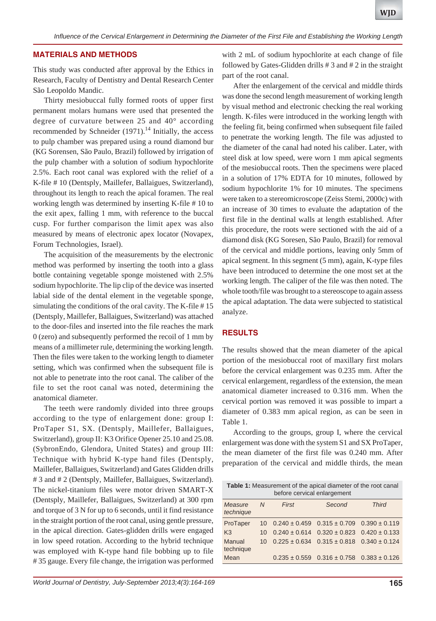## **MATERIALS AND METHODS**

This study was conducted after approval by the Ethics in Research, Faculty of Dentistry and Dental Research Center São Leopoldo Mandic.

Thirty mesiobuccal fully formed roots of upper first permanent molars humans were used that presented the degree of curvature between 25 and 40° according recommended by Schneider  $(1971)$ .<sup>14</sup> Initially, the access to pulp chamber was prepared using a round diamond bur (KG Sorensen, São Paulo, Brazil) followed by irrigation of the pulp chamber with a solution of sodium hypochlorite 2.5%. Each root canal was explored with the relief of a K-file # 10 (Dentsply, Maillefer, Ballaigues, Switzerland), throughout its length to reach the apical foramen. The real working length was determined by inserting K-file # 10 to the exit apex, falling 1 mm, with reference to the buccal cusp. For further comparison the limit apex was also measured by means of electronic apex locator (Novapex, Forum Technologies, Israel).

The acquisition of the measurements by the electronic method was performed by inserting the tooth into a glass bottle containing vegetable sponge moistened with 2.5% sodium hypochlorite. The lip clip of the device was inserted labial side of the dental element in the vegetable sponge, simulating the conditions of the oral cavity. The K-file # 15 (Dentsply, Maillefer, Ballaigues, Switzerland) was attached to the door-files and inserted into the file reaches the mark 0 (zero) and subsequently performed the recoil of 1 mm by means of a millimeter rule, determining the working length. Then the files were taken to the working length to diameter setting, which was confirmed when the subsequent file is not able to penetrate into the root canal. The caliber of the file to set the root canal was noted, determining the anatomical diameter.

The teeth were randomly divided into three groups according to the type of enlargement done: group I: ProTaper S1, SX. (Dentsply, Maillefer, Ballaigues, Switzerland), group II: K3 Orifice Opener 25.10 and 25.08. (SybronEndo, Glendora, United States) and group III: Technique with hybrid K-type hand files (Dentsply, Maillefer, Ballaigues, Switzerland) and Gates Glidden drills # 3 and # 2 (Dentsply, Maillefer, Ballaigues, Switzerland). The nickel-titanium files were motor driven SMART-X (Dentsply, Maillefer, Ballaigues, Switzerland) at 300 rpm and torque of 3 N for up to 6 seconds, until it find resistance in the straight portion of the root canal, using gentle pressure, in the apical direction. Gates-glidden drills were engaged in low speed rotation. According to the hybrid technique was employed with K-type hand file bobbing up to file # 35 gauge. Every file change, the irrigation was performed with 2 mL of sodium hypochlorite at each change of file followed by Gates-Glidden drills  $# 3$  and  $# 2$  in the straight part of the root canal.

After the enlargement of the cervical and middle thirds was done the second length measurement of working length by visual method and electronic checking the real working length. K-files were introduced in the working length with the feeling fit, being confirmed when subsequent file failed to penetrate the working length. The file was adjusted to the diameter of the canal had noted his caliber. Later, with steel disk at low speed, were worn 1 mm apical segments of the mesiobuccal roots. Then the specimens were placed in a solution of 17% EDTA for 10 minutes, followed by sodium hypochlorite 1% for 10 minutes. The specimens were taken to a stereomicroscope (Zeiss Stemi, 2000c) with an increase of 30 times to evaluate the adaptation of the first file in the dentinal walls at length established. After this procedure, the roots were sectioned with the aid of a diamond disk (KG Soresen, São Paulo, Brazil) for removal of the cervical and middle portions, leaving only 5mm of apical segment. In this segment (5 mm), again, K-type files have been introduced to determine the one most set at the working length. The caliper of the file was then noted. The whole tooth/file was brought to a stereoscope to again assess the apical adaptation. The data were subjected to statistical analyze.

### **RESULTS**

The results showed that the mean diameter of the apical portion of the mesiobuccal root of maxillary first molars before the cervical enlargement was 0.235 mm. After the cervical enlargement, regardless of the extension, the mean anatomical diameter increased to 0.316 mm. When the cervical portion was removed it was possible to impart a diameter of 0.383 mm apical region, as can be seen in Table 1.

According to the groups, group I, where the cervical enlargement was done with the system S1 and SX ProTaper, the mean diameter of the first file was 0.240 mm. After preparation of the cervical and middle thirds, the mean

| <b>Table 1:</b> Measurement of the apical diameter of the root canal<br>before cervical enlargement |         |       |                                                       |              |
|-----------------------------------------------------------------------------------------------------|---------|-------|-------------------------------------------------------|--------------|
| Measure<br>technique                                                                                | N       | First | Second                                                | <b>Third</b> |
| ProTaper                                                                                            | $10 \,$ |       | $0.240 \pm 0.459$ $0.315 \pm 0.709$ $0.390 \pm 0.119$ |              |
| K <sub>3</sub>                                                                                      | 10      |       | $0.240 \pm 0.614$ $0.320 \pm 0.823$ $0.420 \pm 0.133$ |              |
| Manual<br>technique                                                                                 | 10      |       | $0.225 \pm 0.634$ $0.315 \pm 0.818$ $0.340 \pm 0.124$ |              |
| Mean                                                                                                |         |       | $0.235 \pm 0.559$ $0.316 \pm 0.758$ $0.383 \pm 0.126$ |              |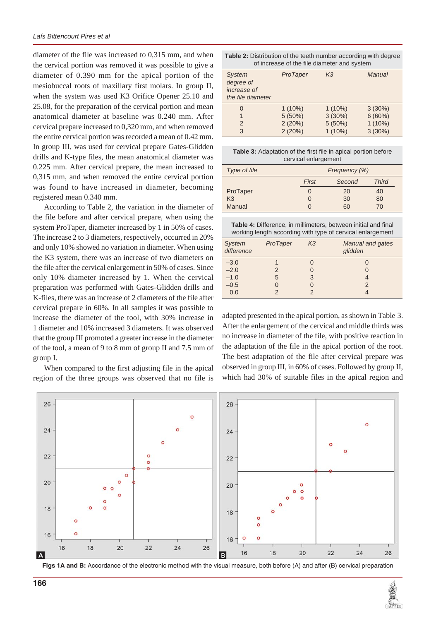diameter of the file was increased to 0,315 mm, and when the cervical portion was removed it was possible to give a diameter of 0.390 mm for the apical portion of the mesiobuccal roots of maxillary first molars. In group II, when the system was used K3 Orifice Opener 25.10 and 25.08, for the preparation of the cervical portion and mean anatomical diameter at baseline was 0.240 mm. After cervical prepare increased to 0,320 mm, and when removed the entire cervical portion was recorded a mean of 0.42 mm. In group III, was used for cervical prepare Gates-Glidden drills and K-type files, the mean anatomical diameter was 0.225 mm. After cervical prepare, the mean increased to 0,315 mm, and when removed the entire cervical portion was found to have increased in diameter, becoming registered mean 0.340 mm.

According to Table 2, the variation in the diameter of the file before and after cervical prepare, when using the system ProTaper, diameter increased by 1 in 50% of cases. The increase 2 to 3 diameters, respectively, occurred in 20% and only 10% showed no variation in diameter. When using the K3 system, there was an increase of two diameters on the file after the cervical enlargement in 50% of cases. Since only 10% diameter increased by 1. When the cervical preparation was performed with Gates-Glidden drills and K-files, there was an increase of 2 diameters of the file after cervical prepare in 60%. In all samples it was possible to increase the diameter of the tool, with 30% increase in 1 diameter and 10% increased 3 diameters. It was observed that the group III promoted a greater increase in the diameter of the tool, a mean of 9 to 8 mm of group II and 7.5 mm of group I.

When compared to the first adjusting file in the apical region of the three groups was observed that no file is

| <b>Table 2:</b> Distribution of the teeth number according with degree |
|------------------------------------------------------------------------|
| of increase of the file diameter and system                            |

| <b>System</b><br>degree of<br>increase of<br>the file diameter | ProTaper                                   | K <sub>3</sub>                             | Manual                                     |
|----------------------------------------------------------------|--------------------------------------------|--------------------------------------------|--------------------------------------------|
| 0<br>1<br>$\mathcal{P}$<br>3                                   | $1(10\%)$<br>$5(50\%)$<br>2(20%)<br>2(20%) | $1(10\%)$<br>3(30%)<br>5(50%)<br>$1(10\%)$ | $3(30\%)$<br>6(60%)<br>$1(10\%)$<br>3(30%) |

**Table 3:** Adaptation of the first file in apical portion before cervical enlargement

| Type of file   | Frequency (%) |        |              |
|----------------|---------------|--------|--------------|
|                | First         | Second | <b>Third</b> |
| ProTaper       | 0             | 20     | 40           |
| K <sub>3</sub> | 0             | 30     | 80           |
| Manual         | $\mathcal{O}$ | 60     | 70           |

| <b>Table 4:</b> Difference, in millimeters, between initial and final |
|-----------------------------------------------------------------------|
| working length according with type of cervical enlargement            |

| <b>System</b><br>difference | ProTaper | K <sub>3</sub> | <b>Manual and gates</b><br>glidden |
|-----------------------------|----------|----------------|------------------------------------|
| $-3.0$                      |          |                | O                                  |
| $-2.0$                      | 2        |                | 0                                  |
| $-1.0$                      | 5        | 3              | 4                                  |
| $-0.5$                      |          |                | $\mathcal{P}$                      |
| 0.0                         | 2        |                |                                    |

adapted presented in the apical portion, as shown in Table 3. After the enlargement of the cervical and middle thirds was no increase in diameter of the file, with positive reaction in the adaptation of the file in the apical portion of the root. The best adaptation of the file after cervical prepare was observed in group III, in 60% of cases. Followed by group II, which had 30% of suitable files in the apical region and



**Figs 1A and B:** Accordance of the electronic method with the visual measure, both before (A) and after (B) cervical preparation

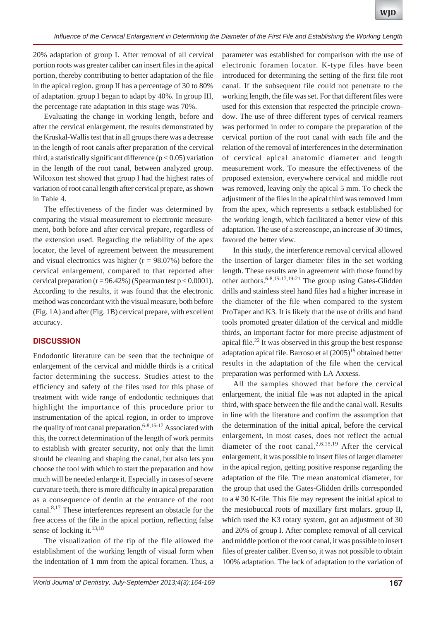20% adaptation of group I. After removal of all cervical portion roots was greater caliber can insert files in the apical portion, thereby contributing to better adaptation of the file in the apical region. group II has a percentage of 30 to 80% of adaptation. group I began to adapt by 40%. In group III, the percentage rate adaptation in this stage was 70%.

Evaluating the change in working length, before and after the cervical enlargement, the results demonstrated by the Kruskal-Wallis test that in all groups there was a decrease in the length of root canals after preparation of the cervical third, a statistically significant difference ( $p < 0.05$ ) variation in the length of the root canal, between analyzed group. Wilcoxon test showed that group I had the highest rates of variation of root canal length after cervical prepare, as shown in Table 4.

The effectiveness of the finder was determined by comparing the visual measurement to electronic measurement, both before and after cervical prepare, regardless of the extension used. Regarding the reliability of the apex locator, the level of agreement between the measurement and visual electronics was higher  $(r = 98.07\%)$  before the cervical enlargement, compared to that reported after cervical preparation ( $r = 96.42\%$ ) (Spearman test  $p < 0.0001$ ). According to the results, it was found that the electronic method was concordant with the visual measure, both before (Fig. 1A) and after (Fig. 1B) cervical prepare, with excellent accuracy.

# **DISCUSSION**

Endodontic literature can be seen that the technique of enlargement of the cervical and middle thirds is a critical factor determining the success. Studies attest to the efficiency and safety of the files used for this phase of treatment with wide range of endodontic techniques that highlight the importance of this procedure prior to instrumentation of the apical region, in order to improve the quality of root canal preparation.<sup>6-8,15-17</sup> Associated with this, the correct determination of the length of work permits to establish with greater security, not only that the limit should be cleaning and shaping the canal, but also lets you choose the tool with which to start the preparation and how much will be needed enlarge it. Especially in cases of severe curvature teeth, there is more difficulty in apical preparation as a consequence of dentin at the entrance of the root canal.<sup>8,17</sup> These interferences represent an obstacle for the free access of the file in the apical portion, reflecting false sense of locking it.<sup>13,18</sup>

The visualization of the tip of the file allowed the establishment of the working length of visual form when the indentation of 1 mm from the apical foramen. Thus, a

parameter was established for comparison with the use of electronic foramen locator. K-type files have been introduced for determining the setting of the first file root canal. If the subsequent file could not penetrate to the working length, the file was set. For that different files were used for this extension that respected the principle crowndow. The use of three different types of cervical reamers was performed in order to compare the preparation of the cervical portion of the root canal with each file and the relation of the removal of interferences in the determination of cervical apical anatomic diameter and length measurement work. To measure the effectiveness of the proposed extension, everywhere cervical and middle root was removed, leaving only the apical 5 mm. To check the adjustment of the files in the apical third was removed 1mm from the apex, which represents a setback established for the working length, which facilitated a better view of this adaptation. The use of a stereoscope, an increase of 30 times, favored the better view.

In this study, the interference removal cervical allowed the insertion of larger diameter files in the set working length. These results are in agreement with those found by other authors.<sup>6-8,15-17,19-21</sup> The group using Gates-Glidden drills and stainless steel hand files had a higher increase in the diameter of the file when compared to the system ProTaper and K3. It is likely that the use of drills and hand tools promoted greater dilation of the cervical and middle thirds, an important factor for more precise adjustment of apical file.<sup>22</sup> It was observed in this group the best response adaptation apical file. Barroso et al  $(2005)^{15}$  obtained better results in the adaptation of the file when the cervical preparation was performed with LA Axxess.

All the samples showed that before the cervical enlargement, the initial file was not adapted in the apical third, with space between the file and the canal wall. Results in line with the literature and confirm the assumption that the determination of the initial apical, before the cervical enlargement, in most cases, does not reflect the actual diameter of the root canal.<sup>2,6,15,19</sup> After the cervical enlargement, it was possible to insert files of larger diameter in the apical region, getting positive response regarding the adaptation of the file. The mean anatomical diameter, for the group that used the Gates-Glidden drills corresponded to a # 30 K-file. This file may represent the initial apical to the mesiobuccal roots of maxillary first molars. group II, which used the K3 rotary system, got an adjustment of 30 and 20% of group I. After complete removal of all cervical and middle portion of the root canal, it was possible to insert files of greater caliber. Even so, it was not possible to obtain 100% adaptation. The lack of adaptation to the variation of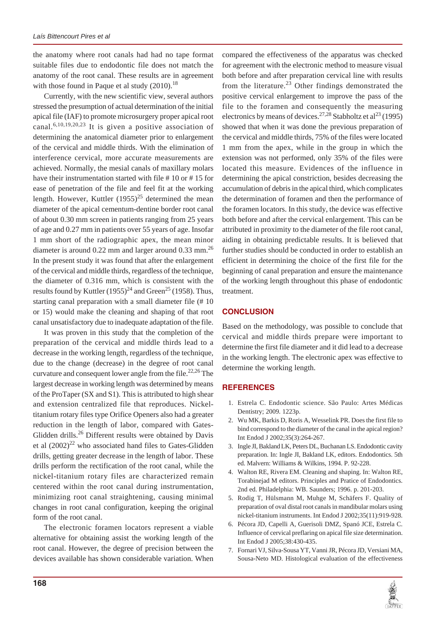the anatomy where root canals had had no tape format suitable files due to endodontic file does not match the anatomy of the root canal. These results are in agreement with those found in Paque et al study  $(2010).<sup>18</sup>$ 

Currently, with the new scientific view, several authors stressed the presumption of actual determination of the initial apical file (IAF) to promote microsurgery proper apical root canal.<sup>6,10,19,20,23</sup> It is given a positive association of determining the anatomical diameter prior to enlargement of the cervical and middle thirds. With the elimination of interference cervical, more accurate measurements are achieved. Normally, the mesial canals of maxillary molars have their instrumentation started with file #10 or #15 for ease of penetration of the file and feel fit at the working length. However, Kuttler  $(1955)^{25}$  determined the mean diameter of the apical cementum-dentine border root canal of about 0.30 mm screen in patients ranging from 25 years of age and 0.27 mm in patients over 55 years of age. Insofar 1 mm short of the radiographic apex, the mean minor diameter is around  $0.22$  mm and larger around  $0.33$  mm.<sup>26</sup> In the present study it was found that after the enlargement of the cervical and middle thirds, regardless of the technique, the diameter of 0.316 mm, which is consistent with the results found by Kuttler  $(1955)^{24}$  and Green<sup>25</sup> (1958). Thus, starting canal preparation with a small diameter file (# 10 or 15) would make the cleaning and shaping of that root canal unsatisfactory due to inadequate adaptation of the file.

It was proven in this study that the completion of the preparation of the cervical and middle thirds lead to a decrease in the working length, regardless of the technique, due to the change (decrease) in the degree of root canal curvature and consequent lower angle from the file.<sup>22,26</sup> The largest decrease in working length was determined by means of the ProTaper (SX and S1). This is attributed to high shear and extension centralized file that reproduces. Nickeltitanium rotary files type Orifice Openers also had a greater reduction in the length of labor, compared with Gates-Glidden drills.<sup>26</sup> Different results were obtained by Davis et al  $(2002)^{22}$  who associated hand files to Gates-Glidden drills, getting greater decrease in the length of labor. These drills perform the rectification of the root canal, while the nickel-titanium rotary files are characterized remain centered within the root canal during instrumentation, minimizing root canal straightening, causing minimal changes in root canal configuration, keeping the original form of the root canal.

The electronic foramen locators represent a viable alternative for obtaining assist the working length of the root canal. However, the degree of precision between the devices available has shown considerable variation. When compared the effectiveness of the apparatus was checked for agreement with the electronic method to measure visual both before and after preparation cervical line with results from the literature.<sup>23</sup> Other findings demonstrated the positive cervical enlargement to improve the pass of the file to the foramen and consequently the measuring electronics by means of devices.<sup>27,28</sup> Stabholtz et al<sup>23</sup> (1995) showed that when it was done the previous preparation of the cervical and middle thirds, 75% of the files were located 1 mm from the apex, while in the group in which the extension was not performed, only 35% of the files were located this measure. Evidences of the influence in determining the apical constriction, besides decreasing the accumulation of debris in the apical third, which complicates the determination of foramen and then the performance of the foramen locators. In this study, the device was effective both before and after the cervical enlargement. This can be attributed in proximity to the diameter of the file root canal, aiding in obtaining predictable results. It is believed that further studies should be conducted in order to establish an efficient in determining the choice of the first file for the beginning of canal preparation and ensure the maintenance of the working length throughout this phase of endodontic treatment.

# **CONCLUSION**

Based on the methodology, was possible to conclude that cervical and middle thirds prepare were important to determine the first file diameter and it did lead to a decrease in the working length. The electronic apex was effective to determine the working length.

# **REFERENCES**

- 1. Estrela C. Endodontic science. São Paulo: Artes Médicas Dentistry; 2009. 1223p.
- 2. Wu MK, Barkis D, Roris A, Wesselink PR. Does the first file to bind correspond to the diameter of the canal in the apical region? Int Endod J 2002;35(3):264-267.
- 3. Ingle JI, Bakland LK, Peters DL, Buchanan LS. Endodontic cavity preparation. In: Ingle JI, Bakland LK, editors. Endodontics. 5th ed. Malvern: Williams & Wilkins, 1994. P. 92-228.
- 4. Walton RE, Rivera EM. Cleaning and shaping. In: Walton RE, Torabinejad M editors. Principles and Pratice of Endodontics. 2nd ed. Philadelphia: WB. Saunders; 1996. p. 201-203.
- 5. Rodig T, Hülsmann M, Muhge M, Schäfers F. Quality of preparation of oval distal root canals in mandibular molars using nickel-titanium instruments. Int Endod J 2002;35(11):919-928.
- 6. Pécora JD, Capelli A, Guerisoli DMZ, Spanó JCE, Estrela C. Influence of cervical preflaring on apical file size determination. Int Endod J 2005;38:430-435.
- 7. Fornari VJ, Silva-Sousa YT, Vanni JR, Pécora JD, Versiani MA, Sousa-Neto MD. Histological evaluation of the effectiveness